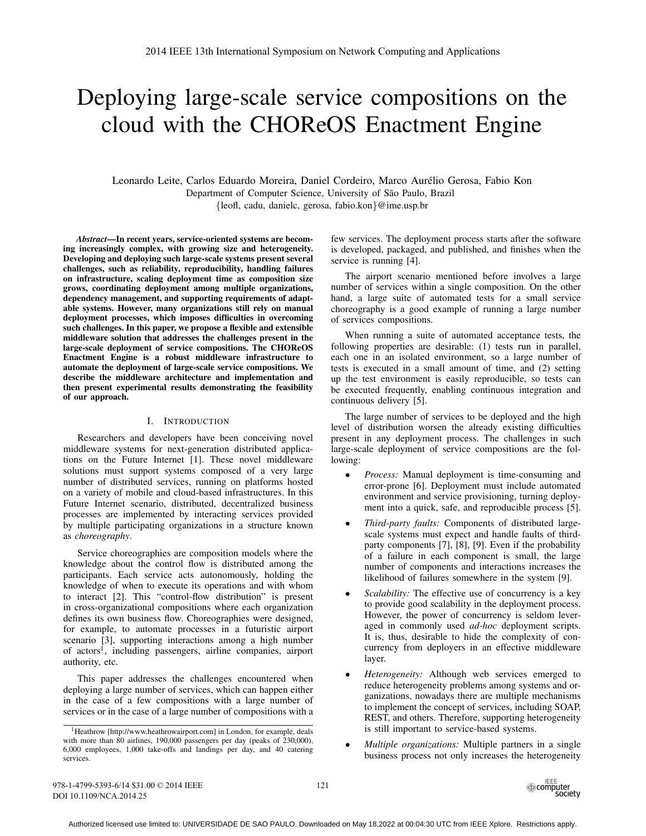# Deploying large-scale service compositions on the cloud with the CHOReOS Enactment Engine

Leonardo Leite, Carlos Eduardo Moreira, Daniel Cordeiro, Marco Aurelio Gerosa, Fabio Kon ´ Department of Computer Science, University of São Paulo, Brazil {leofl, cadu, danielc, gerosa, fabio.kon}@ime.usp.br

*Abstract*—In recent years, service-oriented systems are becoming increasingly complex, with growing size and heterogeneity. Developing and deploying such large-scale systems present several challenges, such as reliability, reproducibility, handling failures on infrastructure, scaling deployment time as composition size grows, coordinating deployment among multiple organizations, dependency management, and supporting requirements of adaptable systems. However, many organizations still rely on manual deployment processes, which imposes difficulties in overcoming such challenges. In this paper, we propose a flexible and extensible middleware solution that addresses the challenges present in the large-scale deployment of service compositions. The CHOReOS Enactment Engine is a robust middleware infrastructure to automate the deployment of large-scale service compositions. We describe the middleware architecture and implementation and then present experimental results demonstrating the feasibility of our approach.

## I. INTRODUCTION

Researchers and developers have been conceiving novel middleware systems for next-generation distributed applications on the Future Internet [1]. These novel middleware solutions must support systems composed of a very large number of distributed services, running on platforms hosted on a variety of mobile and cloud-based infrastructures. In this Future Internet scenario, distributed, decentralized business processes are implemented by interacting services provided by multiple participating organizations in a structure known as *choreography*.

Service choreographies are composition models where the knowledge about the control flow is distributed among the participants. Each service acts autonomously, holding the knowledge of when to execute its operations and with whom to interact [2]. This "control-flow distribution" is present in cross-organizational compositions where each organization defines its own business flow. Choreographies were designed, for example, to automate processes in a futuristic airport scenario [3], supporting interactions among a high number of actors<sup>1</sup>, including passengers, airline companies, airport authority, etc.

This paper addresses the challenges encountered when deploying a large number of services, which can happen either in the case of a few compositions with a large number of services or in the case of a large number of compositions with a

few services. The deployment process starts after the software is developed, packaged, and published, and finishes when the service is running [4].

The airport scenario mentioned before involves a large number of services within a single composition. On the other hand, a large suite of automated tests for a small service choreography is a good example of running a large number of services compositions.

When running a suite of automated acceptance tests, the following properties are desirable: (1) tests run in parallel, each one in an isolated environment, so a large number of tests is executed in a small amount of time, and (2) setting up the test environment is easily reproducible, so tests can be executed frequently, enabling continuous integration and continuous delivery [5].

The large number of services to be deployed and the high level of distribution worsen the already existing difficulties present in any deployment process. The challenges in such large-scale deployment of service compositions are the following:

- *Process:* Manual deployment is time-consuming and error-prone [6]. Deployment must include automated environment and service provisioning, turning deployment into a quick, safe, and reproducible process [5].
- *Third-party faults:* Components of distributed largescale systems must expect and handle faults of thirdparty components [7], [8], [9]. Even if the probability of a failure in each component is small, the large number of components and interactions increases the likelihood of failures somewhere in the system [9].
- *Scalability:* The effective use of concurrency is a key to provide good scalability in the deployment process. However, the power of concurrency is seldom leveraged in commonly used *ad-hoc* deployment scripts. It is, thus, desirable to hide the complexity of concurrency from deployers in an effective middleware layer.
- *Heterogeneity:* Although web services emerged to reduce heterogeneity problems among systems and organizations, nowadays there are multiple mechanisms to implement the concept of services, including SOAP, REST, and others. Therefore, supporting heterogeneity is still important to service-based systems.
- *Multiple organizations:* Multiple partners in a single business process not only increases the heterogeneity



<sup>&</sup>lt;sup>1</sup>Heathrow [http://www.heathrowairport.com] in London, for example, deals with more than 80 airlines, 190,000 passengers per day (peaks of 230,000), 6,000 employees, 1,000 take-offs and landings per day, and 40 catering services.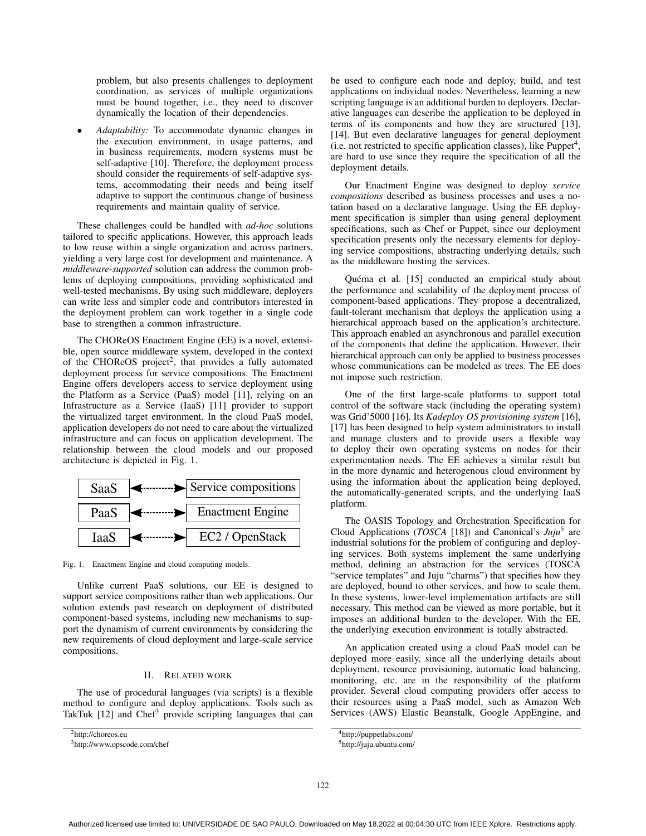problem, but also presents challenges to deployment coordination, as services of multiple organizations must be bound together, i.e., they need to discover dynamically the location of their dependencies.

• *Adaptability:* To accommodate dynamic changes in the execution environment, in usage patterns, and in business requirements, modern systems must be self-adaptive [10]. Therefore, the deployment process should consider the requirements of self-adaptive systems, accommodating their needs and being itself adaptive to support the continuous change of business requirements and maintain quality of service.

These challenges could be handled with *ad-hoc* solutions tailored to specific applications. However, this approach leads to low reuse within a single organization and across partners, yielding a very large cost for development and maintenance. A *middleware-supported* solution can address the common problems of deploying compositions, providing sophisticated and well-tested mechanisms. By using such middleware, deployers can write less and simpler code and contributors interested in the deployment problem can work together in a single code base to strengthen a common infrastructure.

The CHOReOS Enactment Engine (EE) is a novel, extensible, open source middleware system, developed in the context of the CHOReOS project<sup>2</sup>, that provides a fully automated deployment process for service compositions. The Enactment Engine offers developers access to service deployment using the Platform as a Service (PaaS) model [11], relying on an Infrastructure as a Service (IaaS) [11] provider to support the virtualized target environment. In the cloud PaaS model, application developers do not need to care about the virtualized infrastructure and can focus on application development. The relationship between the cloud models and our proposed architecture is depicted in Fig. 1.



Fig. 1. Enactment Engine and cloud computing models.

Unlike current PaaS solutions, our EE is designed to support service compositions rather than web applications. Our solution extends past research on deployment of distributed component-based systems, including new mechanisms to support the dynamism of current environments by considering the new requirements of cloud deployment and large-scale service compositions.

#### II. RELATED WORK

The use of procedural languages (via scripts) is a flexible method to configure and deploy applications. Tools such as TakTuk  $[12]$  and Chef<sup>3</sup> provide scripting languages that can be used to configure each node and deploy, build, and test applications on individual nodes. Nevertheless, learning a new scripting language is an additional burden to deployers. Declarative languages can describe the application to be deployed in terms of its components and how they are structured [13], [14]. But even declarative languages for general deployment  $(i.e. not restricted to specific application classes)$ , like Puppet<sup>4</sup>, are hard to use since they require the specification of all the deployment details.

Our Enactment Engine was designed to deploy *service compositions* described as business processes and uses a notation based on a declarative language. Using the EE deployment specification is simpler than using general deployment specifications, such as Chef or Puppet, since our deployment specification presents only the necessary elements for deploying service compositions, abstracting underlying details, such as the middleware hosting the services.

Quéma et al. [15] conducted an empirical study about the performance and scalability of the deployment process of component-based applications. They propose a decentralized, fault-tolerant mechanism that deploys the application using a hierarchical approach based on the application's architecture. This approach enabled an asynchronous and parallel execution of the components that define the application. However, their hierarchical approach can only be applied to business processes whose communications can be modeled as trees. The EE does not impose such restriction.

One of the first large-scale platforms to support total control of the software stack (including the operating system) was Grid'5000 [16]. Its *Kadeploy OS provisioning system* [16], [17] has been designed to help system administrators to install and manage clusters and to provide users a flexible way to deploy their own operating systems on nodes for their experimentation needs. The EE achieves a similar result but in the more dynamic and heterogenous cloud environment by using the information about the application being deployed, the automatically-generated scripts, and the underlying IaaS platform.

The OASIS Topology and Orchestration Specification for Cloud Applications (*TOSCA* [18]) and Canonical's *Juju*<sup>5</sup> are industrial solutions for the problem of configuring and deploying services. Both systems implement the same underlying method, defining an abstraction for the services (TOSCA "service templates" and Juju "charms") that specifies how they are deployed, bound to other services, and how to scale them. In these systems, lower-level implementation artifacts are still necessary. This method can be viewed as more portable, but it imposes an additional burden to the developer. With the EE, the underlying execution environment is totally abstracted.

An application created using a cloud PaaS model can be deployed more easily, since all the underlying details about deployment, resource provisioning, automatic load balancing, monitoring, etc. are in the responsibility of the platform provider. Several cloud computing providers offer access to their resources using a PaaS model, such as Amazon Web Services (AWS) Elastic Beanstalk, Google AppEngine, and

<sup>2</sup>http://choreos.eu

<sup>3</sup>http://www.opscode.com/chef

<sup>4</sup>http://puppetlabs.com/

<sup>5</sup>http://juju.ubuntu.com/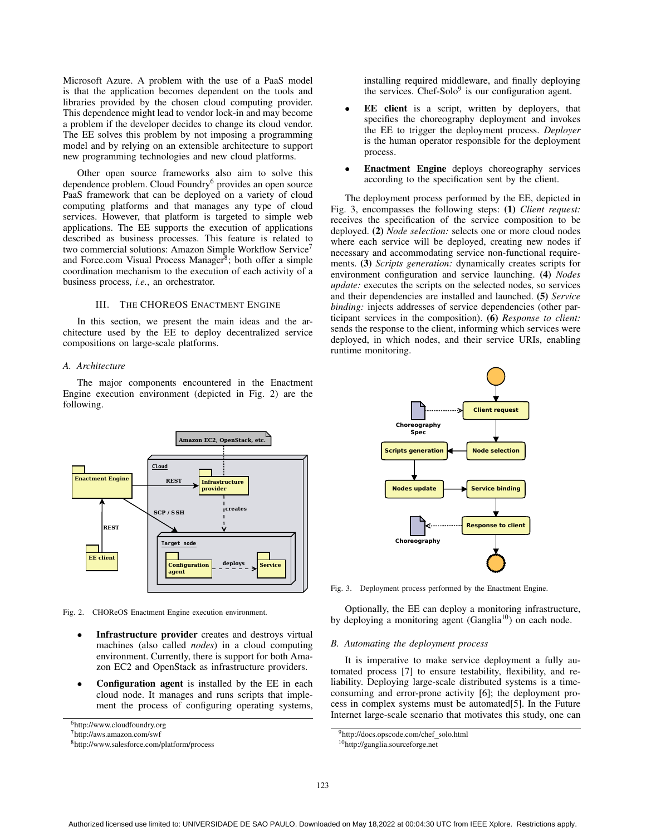Microsoft Azure. A problem with the use of a PaaS model is that the application becomes dependent on the tools and libraries provided by the chosen cloud computing provider. This dependence might lead to vendor lock-in and may become a problem if the developer decides to change its cloud vendor. The EE solves this problem by not imposing a programming model and by relying on an extensible architecture to support new programming technologies and new cloud platforms.

Other open source frameworks also aim to solve this dependence problem. Cloud Foundry<sup>6</sup> provides an open source PaaS framework that can be deployed on a variety of cloud computing platforms and that manages any type of cloud services. However, that platform is targeted to simple web applications. The EE supports the execution of applications described as business processes. This feature is related to two commercial solutions: Amazon Simple Workflow Service<sup>7</sup> and Force.com Visual Process Manager<sup>8</sup>; both offer a simple coordination mechanism to the execution of each activity of a business process, *i.e.*, an orchestrator.

# III. THE CHOREOS ENACTMENT ENGINE

In this section, we present the main ideas and the architecture used by the EE to deploy decentralized service compositions on large-scale platforms.

# *A. Architecture*

The major components encountered in the Enactment Engine execution environment (depicted in Fig. 2) are the following.



Fig. 2. CHOReOS Enactment Engine execution environment.

- Infrastructure provider creates and destroys virtual machines (also called *nodes*) in a cloud computing environment. Currently, there is support for both Amazon EC2 and OpenStack as infrastructure providers.
- Configuration agent is installed by the EE in each cloud node. It manages and runs scripts that implement the process of configuring operating systems,

installing required middleware, and finally deploying the services. Chef-Solo<sup>9</sup> is our configuration agent.

- EE client is a script, written by deployers, that specifies the choreography deployment and invokes the EE to trigger the deployment process. *Deployer* is the human operator responsible for the deployment process.
- **Enactment Engine** deploys choreography services according to the specification sent by the client.

The deployment process performed by the EE, depicted in Fig. 3, encompasses the following steps: (1) *Client request:* receives the specification of the service composition to be deployed. (2) *Node selection:* selects one or more cloud nodes where each service will be deployed, creating new nodes if necessary and accommodating service non-functional requirements. (3) *Scripts generation:* dynamically creates scripts for environment configuration and service launching. (4) *Nodes update:* executes the scripts on the selected nodes, so services and their dependencies are installed and launched. (5) *Service binding:* injects addresses of service dependencies (other participant services in the composition). (6) *Response to client:* sends the response to the client, informing which services were deployed, in which nodes, and their service URIs, enabling runtime monitoring.



Fig. 3. Deployment process performed by the Enactment Engine.

Optionally, the EE can deploy a monitoring infrastructure, by deploying a monitoring agent  $(Ganglia<sup>10</sup>)$  on each node.

## *B. Automating the deployment process*

It is imperative to make service deployment a fully automated process [7] to ensure testability, flexibility, and reliability. Deploying large-scale distributed systems is a timeconsuming and error-prone activity [6]; the deployment process in complex systems must be automated[5]. In the Future Internet large-scale scenario that motivates this study, one can

<sup>6</sup>http://www.cloudfoundry.org

<sup>7</sup>http://aws.amazon.com/swf

<sup>8</sup>http://www.salesforce.com/platform/process

<sup>&</sup>lt;sup>9</sup>http://docs.opscode.com/chef solo.html

<sup>10</sup>http://ganglia.sourceforge.net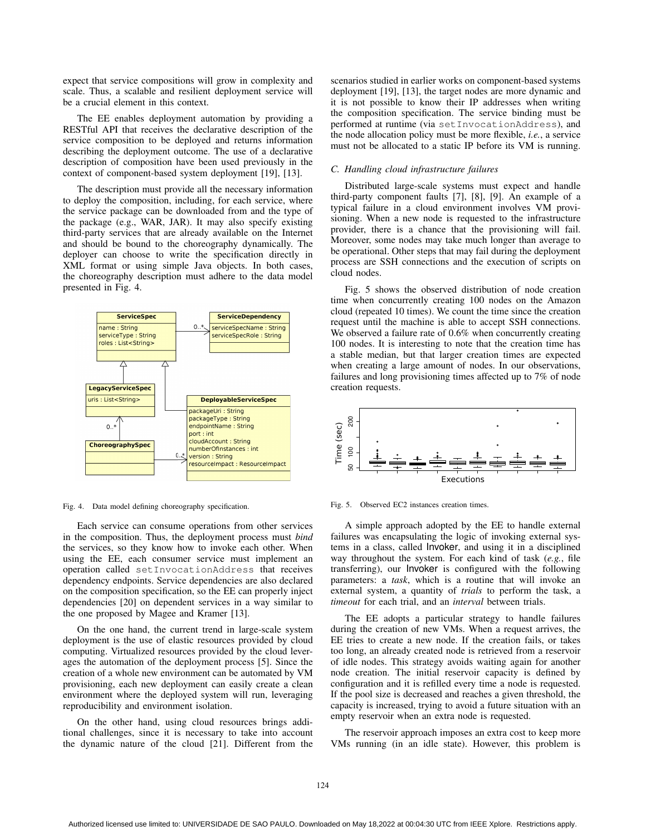expect that service compositions will grow in complexity and scale. Thus, a scalable and resilient deployment service will be a crucial element in this context.

The EE enables deployment automation by providing a RESTful API that receives the declarative description of the service composition to be deployed and returns information describing the deployment outcome. The use of a declarative description of composition have been used previously in the context of component-based system deployment [19], [13].

The description must provide all the necessary information to deploy the composition, including, for each service, where the service package can be downloaded from and the type of the package (e.g., WAR, JAR). It may also specify existing third-party services that are already available on the Internet and should be bound to the choreography dynamically. The deployer can choose to write the specification directly in XML format or using simple Java objects. In both cases, the choreography description must adhere to the data model presented in Fig. 4.



Fig. 4. Data model defining choreography specification.

Each service can consume operations from other services in the composition. Thus, the deployment process must *bind* the services, so they know how to invoke each other. When using the EE, each consumer service must implement an operation called setInvocationAddress that receives dependency endpoints. Service dependencies are also declared on the composition specification, so the EE can properly inject dependencies [20] on dependent services in a way similar to the one proposed by Magee and Kramer [13].

On the one hand, the current trend in large-scale system deployment is the use of elastic resources provided by cloud computing. Virtualized resources provided by the cloud leverages the automation of the deployment process [5]. Since the creation of a whole new environment can be automated by VM provisioning, each new deployment can easily create a clean environment where the deployed system will run, leveraging reproducibility and environment isolation.

On the other hand, using cloud resources brings additional challenges, since it is necessary to take into account the dynamic nature of the cloud [21]. Different from the

scenarios studied in earlier works on component-based systems deployment [19], [13], the target nodes are more dynamic and it is not possible to know their IP addresses when writing the composition specification. The service binding must be performed at runtime (via setInvocationAddress), and the node allocation policy must be more flexible, *i.e.*, a service must not be allocated to a static IP before its VM is running.

## *C. Handling cloud infrastructure failures*

Distributed large-scale systems must expect and handle third-party component faults [7], [8], [9]. An example of a typical failure in a cloud environment involves VM provisioning. When a new node is requested to the infrastructure provider, there is a chance that the provisioning will fail. Moreover, some nodes may take much longer than average to be operational. Other steps that may fail during the deployment process are SSH connections and the execution of scripts on cloud nodes.

Fig. 5 shows the observed distribution of node creation time when concurrently creating 100 nodes on the Amazon cloud (repeated 10 times). We count the time since the creation request until the machine is able to accept SSH connections. We observed a failure rate of 0.6% when concurrently creating 100 nodes. It is interesting to note that the creation time has a stable median, but that larger creation times are expected when creating a large amount of nodes. In our observations, failures and long provisioning times affected up to 7% of node creation requests.



Fig. 5. Observed EC2 instances creation times.

A simple approach adopted by the EE to handle external failures was encapsulating the logic of invoking external systems in a class, called Invoker, and using it in a disciplined way throughout the system. For each kind of task (*e.g.*, file transferring), our Invoker is configured with the following parameters: a *task*, which is a routine that will invoke an external system, a quantity of *trials* to perform the task, a *timeout* for each trial, and an *interval* between trials.

The EE adopts a particular strategy to handle failures during the creation of new VMs. When a request arrives, the EE tries to create a new node. If the creation fails, or takes too long, an already created node is retrieved from a reservoir of idle nodes. This strategy avoids waiting again for another node creation. The initial reservoir capacity is defined by configuration and it is refilled every time a node is requested. If the pool size is decreased and reaches a given threshold, the capacity is increased, trying to avoid a future situation with an empty reservoir when an extra node is requested.

The reservoir approach imposes an extra cost to keep more VMs running (in an idle state). However, this problem is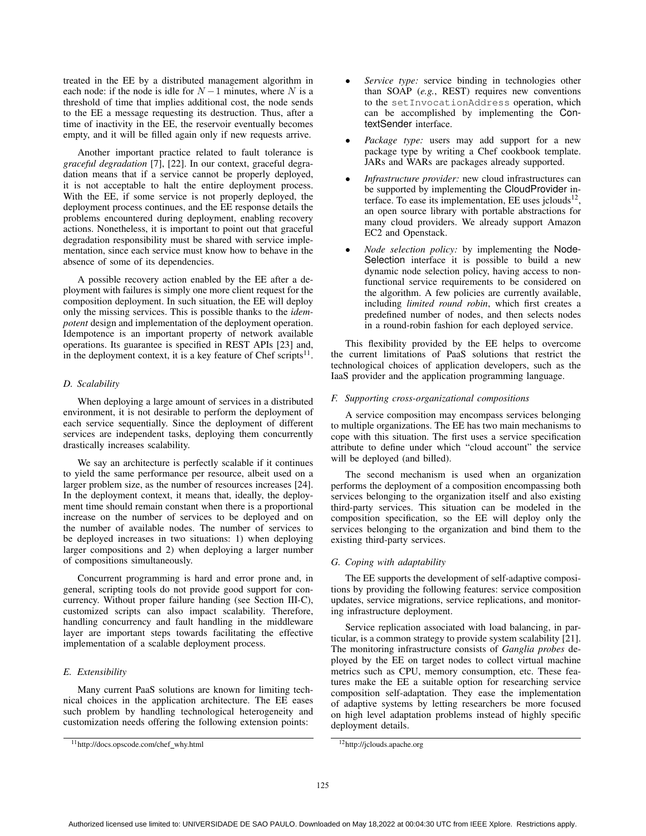treated in the EE by a distributed management algorithm in each node: if the node is idle for  $N-1$  minutes, where N is a threshold of time that implies additional cost, the node sends to the EE a message requesting its destruction. Thus, after a time of inactivity in the EE, the reservoir eventually becomes empty, and it will be filled again only if new requests arrive.

Another important practice related to fault tolerance is *graceful degradation* [7], [22]. In our context, graceful degradation means that if a service cannot be properly deployed, it is not acceptable to halt the entire deployment process. With the EE, if some service is not properly deployed, the deployment process continues, and the EE response details the problems encountered during deployment, enabling recovery actions. Nonetheless, it is important to point out that graceful degradation responsibility must be shared with service implementation, since each service must know how to behave in the absence of some of its dependencies.

A possible recovery action enabled by the EE after a deployment with failures is simply one more client request for the composition deployment. In such situation, the EE will deploy only the missing services. This is possible thanks to the *idempotent* design and implementation of the deployment operation. Idempotence is an important property of network available operations. Its guarantee is specified in REST APIs [23] and, in the deployment context, it is a key feature of Chef scripts $^{11}$ .

## *D. Scalability*

When deploying a large amount of services in a distributed environment, it is not desirable to perform the deployment of each service sequentially. Since the deployment of different services are independent tasks, deploying them concurrently drastically increases scalability.

We say an architecture is perfectly scalable if it continues to yield the same performance per resource, albeit used on a larger problem size, as the number of resources increases [24]. In the deployment context, it means that, ideally, the deployment time should remain constant when there is a proportional increase on the number of services to be deployed and on the number of available nodes. The number of services to be deployed increases in two situations: 1) when deploying larger compositions and 2) when deploying a larger number of compositions simultaneously.

Concurrent programming is hard and error prone and, in general, scripting tools do not provide good support for concurrency. Without proper failure handing (see Section III-C), customized scripts can also impact scalability. Therefore, handling concurrency and fault handling in the middleware layer are important steps towards facilitating the effective implementation of a scalable deployment process.

# *E. Extensibility*

Many current PaaS solutions are known for limiting technical choices in the application architecture. The EE eases such problem by handling technological heterogeneity and customization needs offering the following extension points:

- Service type: service binding in technologies other than SOAP (*e.g.*, REST) requires new conventions to the setInvocationAddress operation, which can be accomplished by implementing the ContextSender interface.
- *Package type:* users may add support for a new package type by writing a Chef cookbook template. JARs and WARs are packages already supported.
- *Infrastructure provider:* new cloud infrastructures can be supported by implementing the CloudProvider interface. To ease its implementation, EE uses jclouds $^{12}$ , an open source library with portable abstractions for many cloud providers. We already support Amazon EC2 and Openstack.
- *Node selection policy:* by implementing the Node-Selection interface it is possible to build a new dynamic node selection policy, having access to nonfunctional service requirements to be considered on the algorithm. A few policies are currently available, including *limited round robin*, which first creates a predefined number of nodes, and then selects nodes in a round-robin fashion for each deployed service.

This flexibility provided by the EE helps to overcome the current limitations of PaaS solutions that restrict the technological choices of application developers, such as the IaaS provider and the application programming language.

#### *F. Supporting cross-organizational compositions*

A service composition may encompass services belonging to multiple organizations. The EE has two main mechanisms to cope with this situation. The first uses a service specification attribute to define under which "cloud account" the service will be deployed (and billed).

The second mechanism is used when an organization performs the deployment of a composition encompassing both services belonging to the organization itself and also existing third-party services. This situation can be modeled in the composition specification, so the EE will deploy only the services belonging to the organization and bind them to the existing third-party services.

# *G. Coping with adaptability*

The EE supports the development of self-adaptive compositions by providing the following features: service composition updates, service migrations, service replications, and monitoring infrastructure deployment.

Service replication associated with load balancing, in particular, is a common strategy to provide system scalability [21]. The monitoring infrastructure consists of *Ganglia probes* deployed by the EE on target nodes to collect virtual machine metrics such as CPU, memory consumption, etc. These features make the EE a suitable option for researching service composition self-adaptation. They ease the implementation of adaptive systems by letting researchers be more focused on high level adaptation problems instead of highly specific deployment details.

<sup>&</sup>lt;sup>11</sup>http://docs.opscode.com/chef\_why.html

<sup>12</sup>http://jclouds.apache.org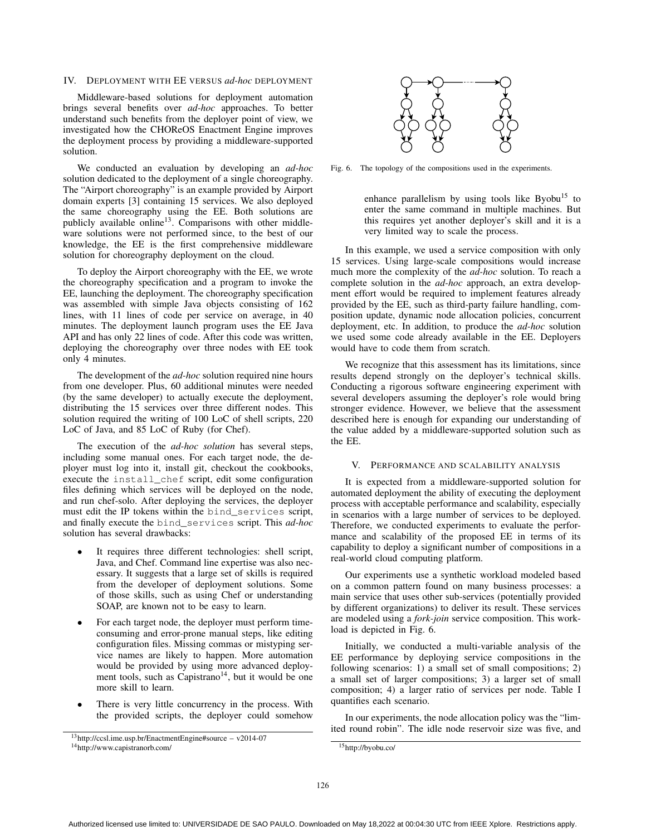# IV. DEPLOYMENT WITH EE VERSUS *ad-hoc* DEPLOYMENT

Middleware-based solutions for deployment automation brings several benefits over *ad-hoc* approaches. To better understand such benefits from the deployer point of view, we investigated how the CHOReOS Enactment Engine improves the deployment process by providing a middleware-supported solution.

We conducted an evaluation by developing an *ad-hoc* solution dedicated to the deployment of a single choreography. The "Airport choreography" is an example provided by Airport domain experts [3] containing 15 services. We also deployed the same choreography using the EE. Both solutions are publicly available online<sup>13</sup>. Comparisons with other middleware solutions were not performed since, to the best of our knowledge, the EE is the first comprehensive middleware solution for choreography deployment on the cloud.

To deploy the Airport choreography with the EE, we wrote the choreography specification and a program to invoke the EE, launching the deployment. The choreography specification was assembled with simple Java objects consisting of 162 lines, with 11 lines of code per service on average, in 40 minutes. The deployment launch program uses the EE Java API and has only 22 lines of code. After this code was written, deploying the choreography over three nodes with EE took only 4 minutes.

The development of the *ad-hoc* solution required nine hours from one developer. Plus, 60 additional minutes were needed (by the same developer) to actually execute the deployment, distributing the 15 services over three different nodes. This solution required the writing of 100 LoC of shell scripts, 220 LoC of Java, and 85 LoC of Ruby (for Chef).

The execution of the *ad-hoc solution* has several steps, including some manual ones. For each target node, the deployer must log into it, install git, checkout the cookbooks, execute the install\_chef script, edit some configuration files defining which services will be deployed on the node, and run chef-solo. After deploying the services, the deployer must edit the IP tokens within the bind\_services script, and finally execute the bind\_services script. This *ad-hoc* solution has several drawbacks:

- It requires three different technologies: shell script, Java, and Chef. Command line expertise was also necessary. It suggests that a large set of skills is required from the developer of deployment solutions. Some of those skills, such as using Chef or understanding SOAP, are known not to be easy to learn.
- For each target node, the deployer must perform timeconsuming and error-prone manual steps, like editing configuration files. Missing commas or mistyping service names are likely to happen. More automation would be provided by using more advanced deployment tools, such as  $Capistrano<sup>14</sup>$ , but it would be one more skill to learn.
- There is very little concurrency in the process. With the provided scripts, the deployer could somehow



Fig. 6. The topology of the compositions used in the experiments.

enhance parallelism by using tools like Byobu $15$  to enter the same command in multiple machines. But this requires yet another deployer's skill and it is a very limited way to scale the process.

In this example, we used a service composition with only 15 services. Using large-scale compositions would increase much more the complexity of the *ad-hoc* solution. To reach a complete solution in the *ad-hoc* approach, an extra development effort would be required to implement features already provided by the EE, such as third-party failure handling, composition update, dynamic node allocation policies, concurrent deployment, etc. In addition, to produce the *ad-hoc* solution we used some code already available in the EE. Deployers would have to code them from scratch.

We recognize that this assessment has its limitations, since results depend strongly on the deployer's technical skills. Conducting a rigorous software engineering experiment with several developers assuming the deployer's role would bring stronger evidence. However, we believe that the assessment described here is enough for expanding our understanding of the value added by a middleware-supported solution such as the EE.

## V. PERFORMANCE AND SCALABILITY ANALYSIS

It is expected from a middleware-supported solution for automated deployment the ability of executing the deployment process with acceptable performance and scalability, especially in scenarios with a large number of services to be deployed. Therefore, we conducted experiments to evaluate the performance and scalability of the proposed EE in terms of its capability to deploy a significant number of compositions in a real-world cloud computing platform.

Our experiments use a synthetic workload modeled based on a common pattern found on many business processes: a main service that uses other sub-services (potentially provided by different organizations) to deliver its result. These services are modeled using a *fork-join* service composition. This workload is depicted in Fig. 6.

Initially, we conducted a multi-variable analysis of the EE performance by deploying service compositions in the following scenarios: 1) a small set of small compositions; 2) a small set of larger compositions; 3) a larger set of small composition; 4) a larger ratio of services per node. Table I quantifies each scenario.

In our experiments, the node allocation policy was the "limited round robin". The idle node reservoir size was five, and

<sup>13</sup>http://ccsl.ime.usp.br/EnactmentEngine#source – v2014-07 14http://www.capistranorb.com/

<sup>15</sup>http://byobu.co/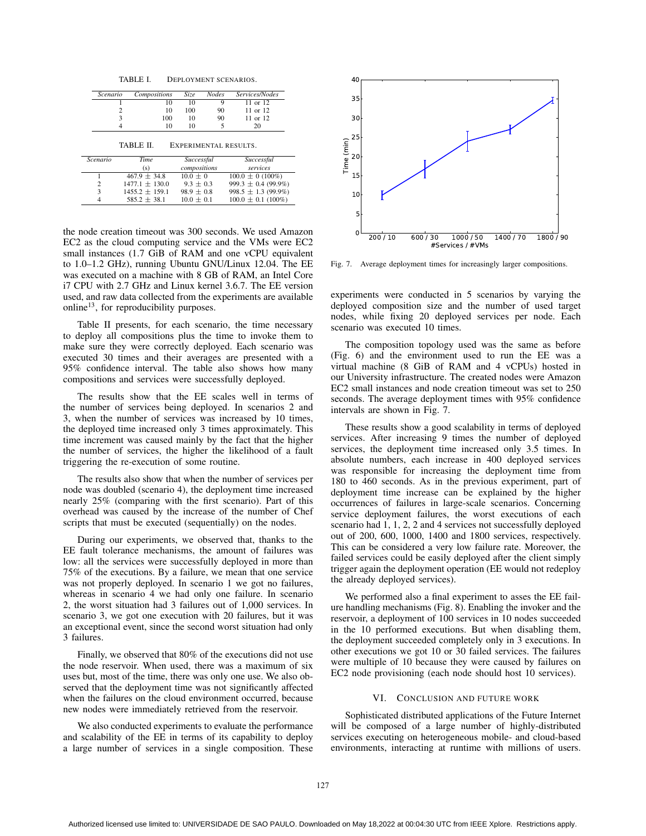TABLE I. DEPLOYMENT SCENARIOS.

| Scenario       |   | Compositions          | Size                         | <b>Nodes</b> | Services/Nodes                   |
|----------------|---|-----------------------|------------------------------|--------------|----------------------------------|
|                |   | 10                    | 10                           | 9            | 11 or 12                         |
|                | 2 | 10                    | 100                          | 90           | $11$ or $12$                     |
|                | 3 | 100                   | 10                           | 90           | $11$ or $12$                     |
|                | 4 | 10                    | 10                           | 5            | 20                               |
|                |   | TABLE II.             |                              |              | EXPERIMENTAL RESULTS.            |
|                |   |                       |                              |              |                                  |
| Scenario       |   | Time                  | Successful                   |              | Successful                       |
|                |   | (s)<br>$467.9 + 34.8$ | compositions<br>$10.0 \pm 0$ |              | services<br>$100.0 \pm 0$ (100%) |
| $\overline{c}$ |   | $1477.1 \pm 130.0$    | $9.3 + 0.3$                  |              | $999.3 \pm 0.4 (99.9\%)$         |
| 3              |   | $1455.2 + 159.1$      | $98.9 + 0.8$                 |              | $998.5 \pm 1.3 (99.9\%)$         |

the node creation timeout was 300 seconds. We used Amazon EC2 as the cloud computing service and the VMs were EC2 small instances (1.7 GiB of RAM and one vCPU equivalent to 1.0–1.2 GHz), running Ubuntu GNU/Linux 12.04. The EE was executed on a machine with 8 GB of RAM, an Intel Core i7 CPU with 2.7 GHz and Linux kernel 3.6.7. The EE version used, and raw data collected from the experiments are available online13, for reproducibility purposes.

Table II presents, for each scenario, the time necessary to deploy all compositions plus the time to invoke them to make sure they were correctly deployed. Each scenario was executed 30 times and their averages are presented with a 95% confidence interval. The table also shows how many compositions and services were successfully deployed.

The results show that the EE scales well in terms of the number of services being deployed. In scenarios 2 and 3, when the number of services was increased by 10 times, the deployed time increased only 3 times approximately. This time increment was caused mainly by the fact that the higher the number of services, the higher the likelihood of a fault triggering the re-execution of some routine.

The results also show that when the number of services per node was doubled (scenario 4), the deployment time increased nearly 25% (comparing with the first scenario). Part of this overhead was caused by the increase of the number of Chef scripts that must be executed (sequentially) on the nodes.

During our experiments, we observed that, thanks to the EE fault tolerance mechanisms, the amount of failures was low: all the services were successfully deployed in more than 75% of the executions. By a failure, we mean that one service was not properly deployed. In scenario 1 we got no failures, whereas in scenario 4 we had only one failure. In scenario 2, the worst situation had 3 failures out of 1,000 services. In scenario 3, we got one execution with 20 failures, but it was an exceptional event, since the second worst situation had only 3 failures.

Finally, we observed that 80% of the executions did not use the node reservoir. When used, there was a maximum of six uses but, most of the time, there was only one use. We also observed that the deployment time was not significantly affected when the failures on the cloud environment occurred, because new nodes were immediately retrieved from the reservoir.

We also conducted experiments to evaluate the performance and scalability of the EE in terms of its capability to deploy a large number of services in a single composition. These



Fig. 7. Average deployment times for increasingly larger compositions.

experiments were conducted in 5 scenarios by varying the deployed composition size and the number of used target nodes, while fixing 20 deployed services per node. Each scenario was executed 10 times.

The composition topology used was the same as before (Fig. 6) and the environment used to run the EE was a virtual machine (8 GiB of RAM and 4 vCPUs) hosted in our University infrastructure. The created nodes were Amazon EC2 small instances and node creation timeout was set to 250 seconds. The average deployment times with 95% confidence intervals are shown in Fig. 7.

These results show a good scalability in terms of deployed services. After increasing 9 times the number of deployed services, the deployment time increased only 3.5 times. In absolute numbers, each increase in 400 deployed services was responsible for increasing the deployment time from 180 to 460 seconds. As in the previous experiment, part of deployment time increase can be explained by the higher occurrences of failures in large-scale scenarios. Concerning service deployment failures, the worst executions of each scenario had 1, 1, 2, 2 and 4 services not successfully deployed out of 200, 600, 1000, 1400 and 1800 services, respectively. This can be considered a very low failure rate. Moreover, the failed services could be easily deployed after the client simply trigger again the deployment operation (EE would not redeploy the already deployed services).

We performed also a final experiment to asses the EE failure handling mechanisms (Fig. 8). Enabling the invoker and the reservoir, a deployment of 100 services in 10 nodes succeeded in the 10 performed executions. But when disabling them, the deployment succeeded completely only in 3 executions. In other executions we got 10 or 30 failed services. The failures were multiple of 10 because they were caused by failures on EC2 node provisioning (each node should host 10 services).

#### VI. CONCLUSION AND FUTURE WORK

Sophisticated distributed applications of the Future Internet will be composed of a large number of highly-distributed services executing on heterogeneous mobile- and cloud-based environments, interacting at runtime with millions of users.